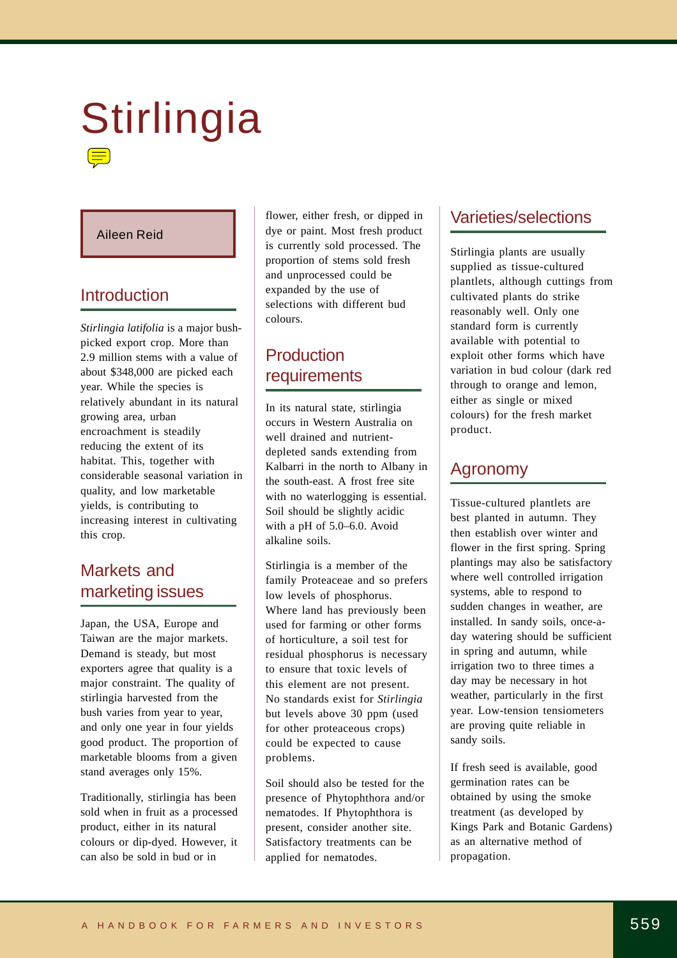# Stirlingia

#### Aileen Reid

## Introduction

*Stirlingia latifolia* is a major bushpicked export crop. More than 2.9 million stems with a value of about \$348,000 are picked each year. While the species is relatively abundant in its natural growing area, urban encroachment is steadily reducing the extent of its habitat. This, together with considerable seasonal variation in quality, and low marketable yields, is contributing to increasing interest in cultivating this crop.

## Markets and marketing issues

Japan, the USA, Europe and Taiwan are the major markets. Demand is steady, but most exporters agree that quality is a major constraint. The quality of stirlingia harvested from the bush varies from year to year, and only one year in four yields good product. The proportion of marketable blooms from a given stand averages only 15%.

Traditionally, stirlingia has been sold when in fruit as a processed product, either in its natural colours or dip-dyed. However, it can also be sold in bud or in

flower, either fresh, or dipped in dye or paint. Most fresh product is currently sold processed. The proportion of stems sold fresh and unprocessed could be expanded by the use of selections with different bud colours.

## Production requirements

In its natural state, stirlingia occurs in Western Australia on well drained and nutrientdepleted sands extending from Kalbarri in the north to Albany in the south-east. A frost free site with no waterlogging is essential. Soil should be slightly acidic with a pH of 5.0–6.0. Avoid alkaline soils.

Stirlingia is a member of the family Proteaceae and so prefers low levels of phosphorus. Where land has previously been used for farming or other forms of horticulture, a soil test for residual phosphorus is necessary to ensure that toxic levels of this element are not present. No standards exist for *Stirlingia*  but levels above 30 ppm (used for other proteaceous crops) could be expected to cause problems.

Soil should also be tested for the presence of Phytophthora and/or nematodes. If Phytophthora is present, consider another site. Satisfactory treatments can be applied for nematodes.

## Varieties/selections

Stirlingia plants are usually supplied as tissue-cultured plantlets, although cuttings from cultivated plants do strike reasonably well. Only one standard form is currently available with potential to exploit other forms which have variation in bud colour (dark red through to orange and lemon, either as single or mixed colours) for the fresh market product.

## Agronomy

Tissue-cultured plantlets are best planted in autumn. They then establish over winter and flower in the first spring. Spring plantings may also be satisfactory where well controlled irrigation systems, able to respond to sudden changes in weather, are installed. In sandy soils, once-aday watering should be sufficient in spring and autumn, while irrigation two to three times a day may be necessary in hot weather, particularly in the first year. Low-tension tensiometers are proving quite reliable in sandy soils.

If fresh seed is available, good germination rates can be obtained by using the smoke treatment (as developed by Kings Park and Botanic Gardens) as an alternative method of propagation.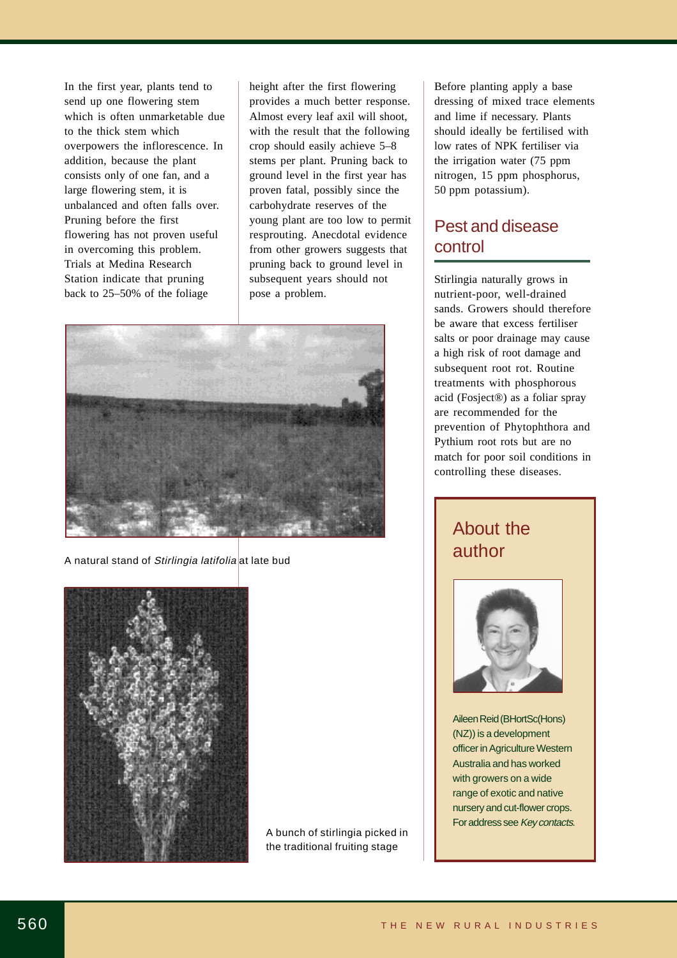send up one flowering stem which is often unmarketable due to the thick stem which overpowers the inflorescence. In addition, because the plant consists only of one fan, and a Pruning before the first flowering has not proven useful in overcoming this problem. Station indicate that pruning back to 25–50% of the foliage In the first year, plants tend to large flowering stem, it is unbalanced and often falls over. Trials at Medina Research

height after the first flowering provides a much better response. Almost every leaf axil will shoot, with the result that the following crop should easily achieve 5–8 stems per plant. Pruning back to ground level in the first year has proven fatal, possibly since the carbohydrate reserves of the young plant are too low to permit resprouting. Anecdotal evidence from other growers suggests that pruning back to ground level in subsequent years should not pose a problem.



A natural stand of Stirlingia latifolia at late bud



A bunch of stirlingia picked in the traditional fruiting stage

Before planting apply a base dressing of mixed trace elements and lime if necessary. Plants should ideally be fertilised with low rates of NPK fertiliser via the irrigation water (75 ppm nitrogen, 15 ppm phosphorus, 50 ppm potassium).

## Pest and disease control

Stirlingia naturally grows in nutrient-poor, well-drained sands. Growers should therefore be aware that excess fertiliser salts or poor drainage may cause a high risk of root damage and subsequent root rot. Routine treatments with phosphorous acid (Fosject®) as a foliar spray are recommended for the prevention of Phytophthora and Pythium root rots but are no match for poor soil conditions in controlling these diseases.

## About the author



Aileen Reid (BHortSc(Hons) (NZ)) is a development Australia and has worked with growers on a wide range of exotic and native nursery and cut-flower crops. For address see Key contacts. officer in Agriculture Western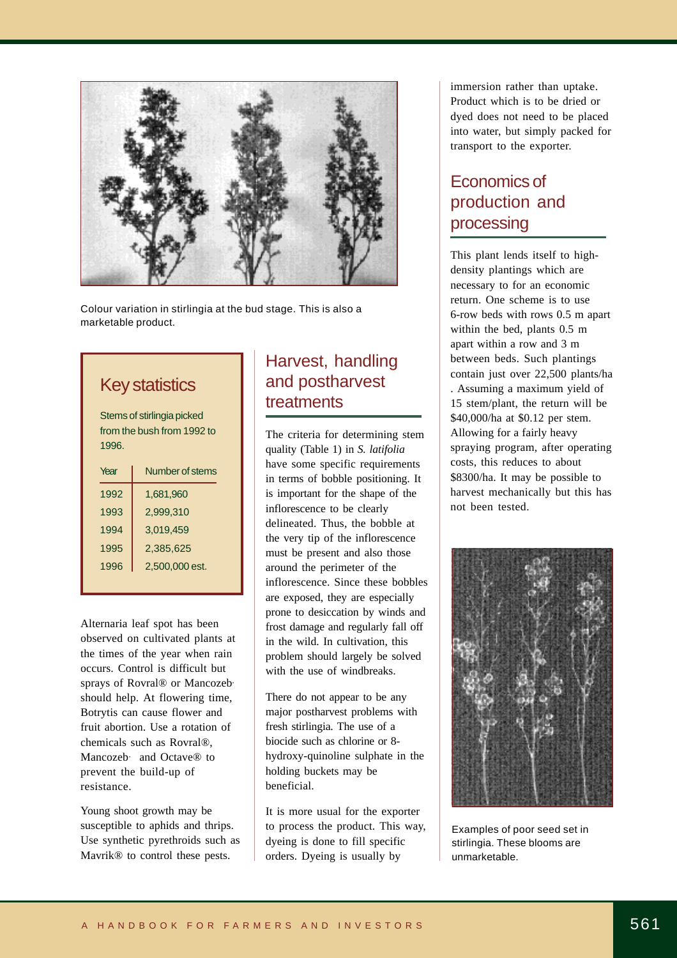

Colour variation in stirlingia at the bud stage. This is also a marketable product.

## Key statistics

Stems of stirlingia picked from the bush from 1992 to 1996.

| Year | Number of stems |
|------|-----------------|
| 1992 | 1,681,960       |
| 1993 | 2,999,310       |
| 1994 | 3,019,459       |
| 1995 | 2,385,625       |
| 1996 | 2,500,000 est.  |
|      |                 |

Alternaria leaf spot has been observed on cultivated plants at the times of the year when rain sprays of Rovral® or Mancozeb' should help. At flowering time, Botrytis can cause flower and fruit abortion. Use a rotation of chemicals such as Rovral®, Mancozeb<sub>'</sub> and Octave<sup>®</sup> to prevent the build-up of resistance. occurs. Control is difficult but

susceptible to aphids and thrips. Use synthetic pyrethroids such as Mavrik® to control these pests. Young shoot growth may be

## Harvest, handling and postharvest treatments

The criteria for determining stem quality (Table 1) in S. latifolia have some specific requirements in terms of bobble positioning. It is important for the shape of the inflorescence to be clearly delineated. Thus, the bobble at the very tip of the inflorescence must be present and also those around the perimeter of the inflorescence. Since these bobbles are exposed, they are especially prone to desiccation by winds and in the wild. In cultivation, this with the use of windbreaks. frost damage and regularly fall off problem should largely be solved

There do not appear to be any major postharvest problems with fresh stirlingia. The use of a biocide such as chlorine or 8 hydroxy-quinoline sulphate in the holding buckets may be beneficial.

It is more usual for the exporter dyeing is done to fill specific orders. Dyeing is usually by to process the product. This way, immersion rather than uptake. Product which is to be dried or dyed does not need to be placed into water, but simply packed for transport to the exporter.

## Economics of production and processing

This plant lends itself to highdensity plantings which are necessary to for an economic return. One scheme is to use 6-row beds with rows 0.5 m apart within the bed, plants 0.5 m apart within a row and 3 m between beds. Such plantings contain just over 22,500 plants/ha . Assuming a maximum yield of 15 stem/plant, the return will be \$40,000/ha at \$0.12 per stem. Allowing for a fairly heavy spraying program, after operating costs, this reduces to about \$8300/ha. It may be possible to harvest mechanically but this has not been tested.



Examples of poor seed set in stirlingia. These blooms are unmarketable.